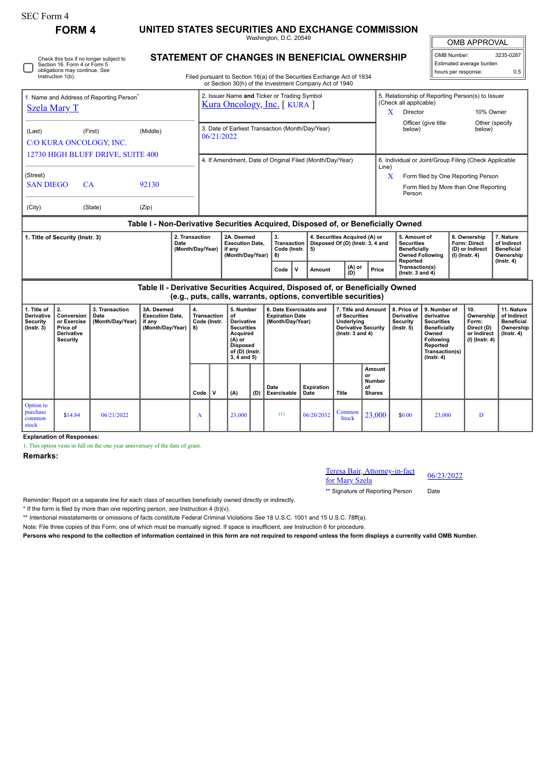| <b>SEC Form 4</b>                                                                                       |                                                                                     |                                            |                                                                                  |                                                                            |                                                                |                                                                    |                                                                                                                                           |                                                |                                                                            |             |                                                                                                                                  |                                                                                                          |                                                                                    |                                                                         |                                                                                                                                         |                                                                             |                                                                                    |                                                                                 |  |
|---------------------------------------------------------------------------------------------------------|-------------------------------------------------------------------------------------|--------------------------------------------|----------------------------------------------------------------------------------|----------------------------------------------------------------------------|----------------------------------------------------------------|--------------------------------------------------------------------|-------------------------------------------------------------------------------------------------------------------------------------------|------------------------------------------------|----------------------------------------------------------------------------|-------------|----------------------------------------------------------------------------------------------------------------------------------|----------------------------------------------------------------------------------------------------------|------------------------------------------------------------------------------------|-------------------------------------------------------------------------|-----------------------------------------------------------------------------------------------------------------------------------------|-----------------------------------------------------------------------------|------------------------------------------------------------------------------------|---------------------------------------------------------------------------------|--|
| <b>FORM4</b>                                                                                            |                                                                                     |                                            |                                                                                  | UNITED STATES SECURITIES AND EXCHANGE COMMISSION<br>Washington, D.C. 20549 |                                                                |                                                                    |                                                                                                                                           |                                                |                                                                            |             |                                                                                                                                  |                                                                                                          |                                                                                    |                                                                         |                                                                                                                                         | <b>OMB APPROVAL</b>                                                         |                                                                                    |                                                                                 |  |
| Check this box if no longer subject to<br>Section 16. Form 4 or Form 5<br>obligations may continue. See |                                                                                     |                                            |                                                                                  |                                                                            |                                                                | STATEMENT OF CHANGES IN BENEFICIAL OWNERSHIP                       |                                                                                                                                           |                                                |                                                                            |             |                                                                                                                                  |                                                                                                          |                                                                                    |                                                                         |                                                                                                                                         |                                                                             | OMB Number:<br>3235-0287<br>Estimated average burden<br>0.5<br>hours per response: |                                                                                 |  |
| Instruction 1(b).                                                                                       |                                                                                     |                                            |                                                                                  |                                                                            |                                                                |                                                                    |                                                                                                                                           |                                                |                                                                            |             | Filed pursuant to Section 16(a) of the Securities Exchange Act of 1934<br>or Section 30(h) of the Investment Company Act of 1940 |                                                                                                          |                                                                                    |                                                                         |                                                                                                                                         |                                                                             |                                                                                    |                                                                                 |  |
| 1. Name and Address of Reporting Person <sup>®</sup><br><b>Szela Mary T</b>                             |                                                                                     |                                            |                                                                                  |                                                                            |                                                                |                                                                    |                                                                                                                                           |                                                | 2. Issuer Name and Ticker or Trading Symbol<br>Kura Oncology, Inc. [KURA ] |             |                                                                                                                                  |                                                                                                          | (Check all applicable)<br>Director<br>X.                                           |                                                                         | 5. Relationship of Reporting Person(s) to Issuer<br>10% Owner                                                                           |                                                                             |                                                                                    |                                                                                 |  |
| (First)<br>(Middle)<br>(Last)<br>C/O KURA ONCOLOGY, INC.                                                |                                                                                     |                                            |                                                                                  |                                                                            | 3. Date of Earliest Transaction (Month/Day/Year)<br>06/21/2022 |                                                                    |                                                                                                                                           |                                                |                                                                            |             |                                                                                                                                  |                                                                                                          |                                                                                    | Officer (give title<br>Other (specify<br>below)<br>below)               |                                                                                                                                         |                                                                             |                                                                                    |                                                                                 |  |
| 12730 HIGH BLUFF DRIVE, SUITE 400                                                                       |                                                                                     |                                            |                                                                                  |                                                                            |                                                                | 4. If Amendment, Date of Original Filed (Month/Day/Year)           |                                                                                                                                           |                                                |                                                                            |             |                                                                                                                                  |                                                                                                          |                                                                                    | 6. Individual or Joint/Group Filing (Check Applicable                   |                                                                                                                                         |                                                                             |                                                                                    |                                                                                 |  |
| (Street)<br><b>SAN DIEGO</b><br>CA<br>92130                                                             |                                                                                     |                                            |                                                                                  |                                                                            |                                                                | Line)<br>X<br>Person                                               |                                                                                                                                           |                                                |                                                                            |             |                                                                                                                                  |                                                                                                          |                                                                                    |                                                                         |                                                                                                                                         | Form filed by One Reporting Person<br>Form filed by More than One Reporting |                                                                                    |                                                                                 |  |
| (City)<br>(State)<br>(Zip)                                                                              |                                                                                     |                                            |                                                                                  |                                                                            |                                                                |                                                                    |                                                                                                                                           |                                                |                                                                            |             |                                                                                                                                  |                                                                                                          |                                                                                    |                                                                         |                                                                                                                                         |                                                                             |                                                                                    |                                                                                 |  |
|                                                                                                         |                                                                                     |                                            | Table I - Non-Derivative Securities Acquired, Disposed of, or Beneficially Owned |                                                                            |                                                                |                                                                    |                                                                                                                                           |                                                |                                                                            |             |                                                                                                                                  |                                                                                                          |                                                                                    |                                                                         |                                                                                                                                         |                                                                             |                                                                                    |                                                                                 |  |
| 2. Transaction<br>1. Title of Security (Instr. 3)<br>Date<br>(Month/Day/Year)                           |                                                                                     |                                            |                                                                                  |                                                                            |                                                                | 2A. Deemed<br><b>Execution Date.</b><br>if any<br>(Month/Day/Year) |                                                                                                                                           | 3.<br><b>Transaction</b><br>Code (Instr.<br>8) |                                                                            | 5)          | 4. Securities Acquired (A) or<br>Disposed Of (D) (Instr. 3, 4 and                                                                |                                                                                                          | 5. Amount of<br><b>Securities</b><br><b>Beneficially</b><br><b>Owned Following</b> |                                                                         |                                                                                                                                         | 6. Ownership<br><b>Form: Direct</b><br>(D) or Indirect<br>(I) (Instr. 4)    | 7. Nature<br>of Indirect<br><b>Beneficial</b><br>Ownership                         |                                                                                 |  |
|                                                                                                         |                                                                                     |                                            |                                                                                  |                                                                            |                                                                |                                                                    |                                                                                                                                           |                                                | Code                                                                       | $\mathbf v$ | <b>Amount</b>                                                                                                                    | (A) or<br>(D)                                                                                            | Price                                                                              | Reported<br>Transaction(s)<br>$($ Instr. 3 and 4 $)$                    |                                                                                                                                         |                                                                             |                                                                                    | $($ Instr. 4 $)$                                                                |  |
|                                                                                                         |                                                                                     |                                            | Table II - Derivative Securities Acquired, Disposed of, or Beneficially Owned    |                                                                            |                                                                |                                                                    |                                                                                                                                           |                                                |                                                                            |             | (e.g., puts, calls, warrants, options, convertible securities)                                                                   |                                                                                                          |                                                                                    |                                                                         |                                                                                                                                         |                                                                             |                                                                                    |                                                                                 |  |
| 1. Title of<br>Derivative<br><b>Security</b><br>$($ Instr. 3 $)$                                        | 2.<br>Conversion<br>or Exercise<br>Price of<br><b>Derivative</b><br><b>Security</b> | 3. Transaction<br>Date<br>(Month/Day/Year) | 3A. Deemed<br><b>Execution Date,</b><br>if any<br>(Month/Day/Year)               |                                                                            | 4.<br>Transaction<br>Code (Instr.<br>8)                        |                                                                    | 5. Number<br>of<br>Derivative<br><b>Securities</b><br><b>Acquired</b><br>$(A)$ or<br><b>Disposed</b><br>of (D) (Instr.<br>$3, 4$ and $5)$ |                                                | 6. Date Exercisable and<br><b>Expiration Date</b><br>(Month/Day/Year)      |             |                                                                                                                                  | 7. Title and Amount<br>of Securities<br>Underlying<br><b>Derivative Security</b><br>( $lnstr. 3 and 4$ ) |                                                                                    | 8. Price of<br><b>Derivative</b><br><b>Security</b><br>$($ lnstr. 5 $)$ | 9. Number of<br>derivative<br><b>Securities</b><br>Beneficially<br>Owned<br>Following<br>Reported<br>Transaction(s)<br>$($ Instr. 4 $)$ |                                                                             | 10.<br>Ownership<br>Form:<br>Direct (D)<br>or Indirect<br>(I) (Instr. 4)           | 11. Nature<br>of Indirect<br><b>Beneficial</b><br>Ownership<br>$($ Instr. 4 $)$ |  |
|                                                                                                         |                                                                                     |                                            |                                                                                  |                                                                            | Code                                                           | $\mathbf v$                                                        | (A)                                                                                                                                       | (D)                                            | Date<br>Exercisable                                                        |             | <b>Expiration</b><br>Date                                                                                                        | <b>Title</b>                                                                                             | Amount<br>or<br><b>Number</b><br>of<br><b>Shares</b>                               |                                                                         |                                                                                                                                         |                                                                             |                                                                                    |                                                                                 |  |
| Option to<br>purchase<br>common<br>stock                                                                | \$14.84                                                                             | 06/21/2022                                 |                                                                                  |                                                                            | A                                                              |                                                                    | 23,000                                                                                                                                    |                                                | (1)                                                                        |             | 06/20/2032                                                                                                                       | Common<br><b>Stock</b>                                                                                   | 23,000                                                                             | \$0.00                                                                  | 23.000                                                                                                                                  |                                                                             | D                                                                                  |                                                                                 |  |

**Explanation of Responses:**

1. This option vests in full on the one year anniversary of the date of grant.

**Remarks:**

Teresa Bair, Attorney-in-fact Freesa Bair, Attorney-in-fact<br>for Mary Szela 06/23/2022

\*\* Signature of Reporting Person Date

Reminder: Report on a separate line for each class of securities beneficially owned directly or indirectly.

\* If the form is filed by more than one reporting person, *see* Instruction 4 (b)(v).

\*\* Intentional misstatements or omissions of facts constitute Federal Criminal Violations *See* 18 U.S.C. 1001 and 15 U.S.C. 78ff(a).

Note: File three copies of this Form, one of which must be manually signed. If space is insufficient, *see* Instruction 6 for procedure.

**Persons who respond to the collection of information contained in this form are not required to respond unless the form displays a currently valid OMB Number.**